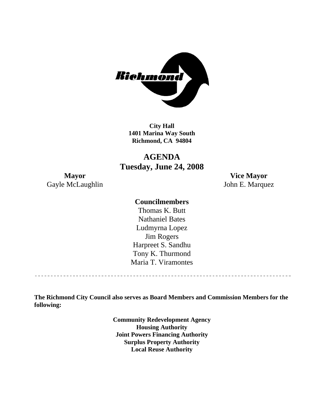

**City Hall 1401 Marina Way South Richmond, CA 94804** 

# **AGENDA Tuesday, June 24, 2008**

**Mayor Vice Mayor**  Gayle McLaughlin John E. Marquez

## **Councilmembers**

Harpreet S. Sandhu Tony K. Thurmond Maria T. Viramontes Thomas K. Butt Nathaniel Bates Ludmyrna Lopez Jim Rogers

**The Richmond City Council also serves as Board Members and Commission Members for the following:** 

> **Community Redevelopment Agency Housing Authority Joint Powers Financing Authority Surplus Property Authority Local Reuse Authority**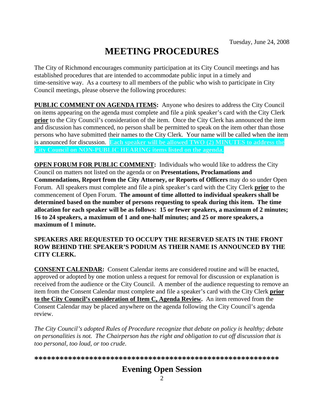# **MEETING PROCEDURES**

The City of Richmond encourages community participation at its City Council meetings and has established procedures that are intended to accommodate public input in a timely and time-sensitive way. As a courtesy to all members of the public who wish to participate in City Council meetings, please observe the following procedures:

**PUBLIC COMMENT ON AGENDA ITEMS:** Anyone who desires to address the City Council on items appearing on the agenda must complete and file a pink speaker's card with the City Clerk **prior** to the City Council's consideration of the item. Once the City Clerk has announced the item and discussion has commenced, no person shall be permitted to speak on the item other than those persons who have submitted their names to the City Clerk. Your name will be called when the item is announced for discussion. **Each speaker will be allowed TWO (2) MINUTES to address the City Council on NON-PUBLIC HEARING items listed on the agenda.** 

**OPEN FORUM FOR PUBLIC COMMENT:** Individuals who would like to address the City Council on matters not listed on the agenda or on **Presentations, Proclamations and Commendations, Report from the City Attorney, or Reports of Officers** may do so under Open Forum. All speakers must complete and file a pink speaker's card with the City Clerk **prior** to the commencement of Open Forum. **The amount of time allotted to individual speakers shall be determined based on the number of persons requesting to speak during this item. The time allocation for each speaker will be as follows: 15 or fewer speakers, a maximum of 2 minutes; 16 to 24 speakers, a maximum of 1 and one-half minutes; and 25 or more speakers, a maximum of 1 minute.** 

### **SPEAKERS ARE REQUESTED TO OCCUPY THE RESERVED SEATS IN THE FRONT ROW BEHIND THE SPEAKER'S PODIUM AS THEIR NAME IS ANNOUNCED BY THE CITY CLERK.**

**CONSENT CALENDAR:** Consent Calendar items are considered routine and will be enacted, approved or adopted by one motion unless a request for removal for discussion or explanation is received from the audience or the City Council. A member of the audience requesting to remove an item from the Consent Calendar must complete and file a speaker's card with the City Clerk **prior to the City Council's consideration of Item C, Agenda Review.** An item removed from the Consent Calendar may be placed anywhere on the agenda following the City Council's agenda review.

*The City Council's adopted Rules of Procedure recognize that debate on policy is healthy; debate on personalities is not. The Chairperson has the right and obligation to cut off discussion that is too personal, too loud, or too crude.* 

**\*\*\*\*\*\*\*\*\*\*\*\*\*\*\*\*\*\*\*\*\*\*\*\*\*\*\*\*\*\*\*\*\*\*\*\*\*\*\*\*\*\*\*\*\*\*\*\*\*\*\*\*\*\*\*\*\*\***

# **Evening Open Session**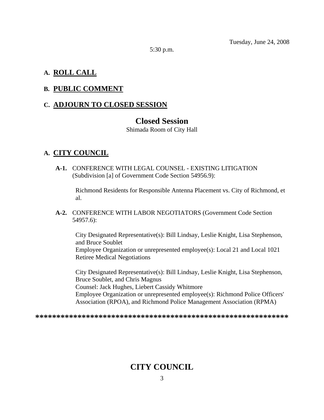5:30 p.m.

# **A. ROLL CALL**

# **B. PUBLIC COMMENT**

# **C. ADJOURN TO CLOSED SESSION**

# **Closed Session**

Shimada Room of City Hall

# **A. CITY COUNCIL**

 **A-1.** CONFERENCE WITH LEGAL COUNSEL - EXISTING LITIGATION (Subdivision [a] of Government Code Section 54956.9):

Richmond Residents for Responsible Antenna Placement vs. City of Richmond, et al.

 **A-2.** CONFERENCE WITH LABOR NEGOTIATORS (Government Code Section 54957.6):

City Designated Representative(s): Bill Lindsay, Leslie Knight, Lisa Stephenson, and Bruce Soublet Employee Organization or unrepresented employee(s): Local 21 and Local 1021 Retiree Medical Negotiations

City Designated Representative(s): Bill Lindsay, Leslie Knight, Lisa Stephenson, Bruce Soublet, and Chris Magnus Counsel: Jack Hughes, Liebert Cassidy Whitmore Employee Organization or unrepresented employee(s): Richmond Police Officers' Association (RPOA), and Richmond Police Management Association (RPMA)

**\*\*\*\*\*\*\*\*\*\*\*\*\*\*\*\*\*\*\*\*\*\*\*\*\*\*\*\*\*\*\*\*\*\*\*\*\*\*\*\*\*\*\*\*\*\*\*\*\*\*\*\*\*\*\*\*\*\*\*\*** 

# **CITY COUNCIL**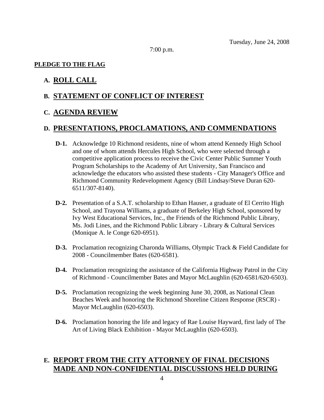7:00 p.m.

#### **PLEDGE TO THE FLAG**

# **A. ROLL CALL**

#### **B. STATEMENT OF CONFLICT OF INTEREST**

#### **C. AGENDA REVIEW**

#### **D. PRESENTATIONS, PROCLAMATIONS, AND COMMENDATIONS**

- **D-1.** Acknowledge 10 Richmond residents, nine of whom attend Kennedy High School and one of whom attends Hercules High School, who were selected through a competitive application process to receive the Civic Center Public Summer Youth Program Scholarships to the Academy of Art University, San Francisco and acknowledge the educators who assisted these students - City Manager's Office and Richmond Community Redevelopment Agency (Bill Lindsay/Steve Duran 620- 6511/307-8140).
- **D-2.** Presentation of a S.A.T. scholarship to Ethan Hauser, a graduate of El Cerrito High School, and Trayona Williams, a graduate of Berkeley High School, sponsored by Ivy West Educational Services, Inc., the Friends of the Richmond Public Library, Ms. Jodi Lines, and the Richmond Public Library - Library & Cultural Services (Monique A. le Conge 620-6951).
- **D-3.** Proclamation recognizing Charonda Williams, Olympic Track & Field Candidate for 2008 - Councilmember Bates (620-6581).
- **D-4.** Proclamation recognizing the assistance of the California Highway Patrol in the City of Richmond - Councilmember Bates and Mayor McLaughlin (620-6581/620-6503).
- **D-5.** Proclamation recognizing the week beginning June 30, 2008, as National Clean Beaches Week and honoring the Richmond Shoreline Citizen Response (RSCR) - Mayor McLaughlin (620-6503).
- **D-6.** Proclamation honoring the life and legacy of Rae Louise Hayward, first lady of The Art of Living Black Exhibition - Mayor McLaughlin (620-6503).

# **E. REPORT FROM THE CITY ATTORNEY OF FINAL DECISIONS MADE AND NON-CONFIDENTIAL DISCUSSIONS HELD DURING**